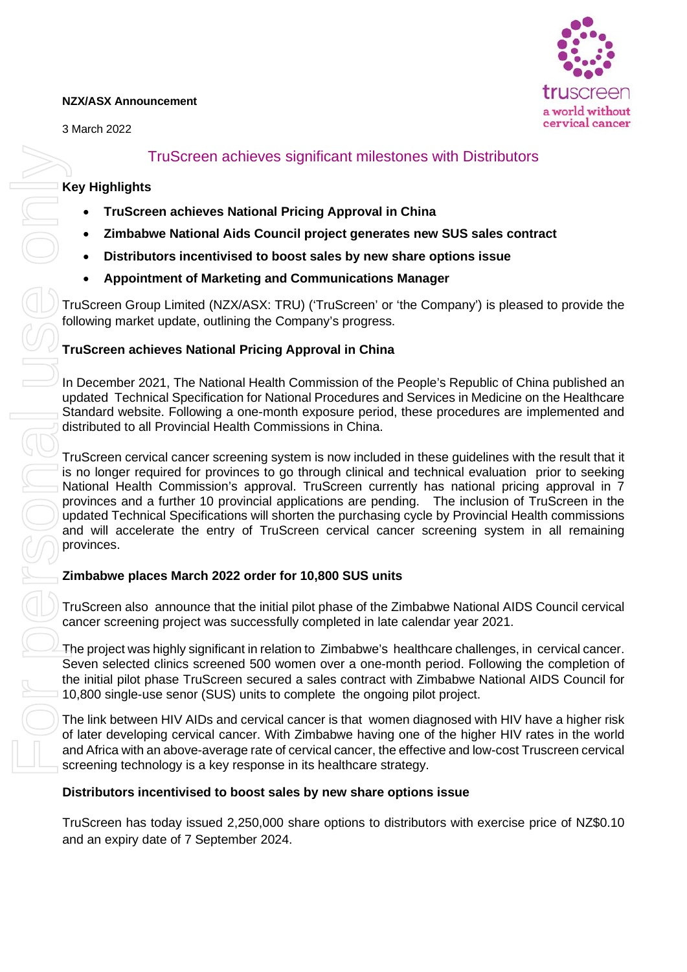#### **NZX/ASX Announcement**

3 March 2022



# TruScreen achieves significant milestones with Distributors

#### **Key Highlights**

- **TruScreen achieves National Pricing Approval in China**
- **Zimbabwe National Aids Council project generates new SUS sales contract**
- **Distributors incentivised to boost sales by new share options issue**
- **Appointment of Marketing and Communications Manager**

TruScreen Group Limited (NZX/ASX: TRU) ('TruScreen' or 'the Company') is pleased to provide the following market update, outlining the Company's progress.

# **TruScreen achieves National Pricing Approval in China**

In December 2021, The National Health Commission of the People's Republic of China published an updated Technical Specification for National Procedures and Services in Medicine on the Healthcare Standard website. Following a one-month exposure period, these procedures are implemented and distributed to all Provincial Health Commissions in China.

TruScreen cervical cancer screening system is now included in these guidelines with the result that it is no longer required for provinces to go through clinical and technical evaluation prior to seeking National Health Commission's approval. TruScreen currently has national pricing approval in 7 provinces and a further 10 provincial applications are pending. The inclusion of TruScreen in the updated Technical Specifications will shorten the purchasing cycle by Provincial Health commissions and will accelerate the entry of TruScreen cervical cancer screening system in all remaining provinces.

### **Zimbabwe places March 2022 order for 10,800 SUS units**

TruScreen also announce that the initial pilot phase of the Zimbabwe National AIDS Council cervical cancer screening project was successfully completed in late calendar year 2021.

The project was highly significant in relation to Zimbabwe's healthcare challenges, in cervical cancer. Seven selected clinics screened 500 women over a one-month period. Following the completion of the initial pilot phase TruScreen secured a sales contract with Zimbabwe National AIDS Council for 10,800 single-use senor (SUS) units to complete the ongoing pilot project.

The link between HIV AIDs and cervical cancer is that women diagnosed with HIV have a higher risk of later developing cervical cancer. With Zimbabwe having one of the higher HIV rates in the world and Africa with an above-average rate of cervical cancer, the effective and low-cost Truscreen cervical screening technology is a key response in its healthcare strategy.

### **Distributors incentivised to boost sales by new share options issue**

TruScreen has today issued 2,250,000 share options to distributors with exercise price of NZ\$0.10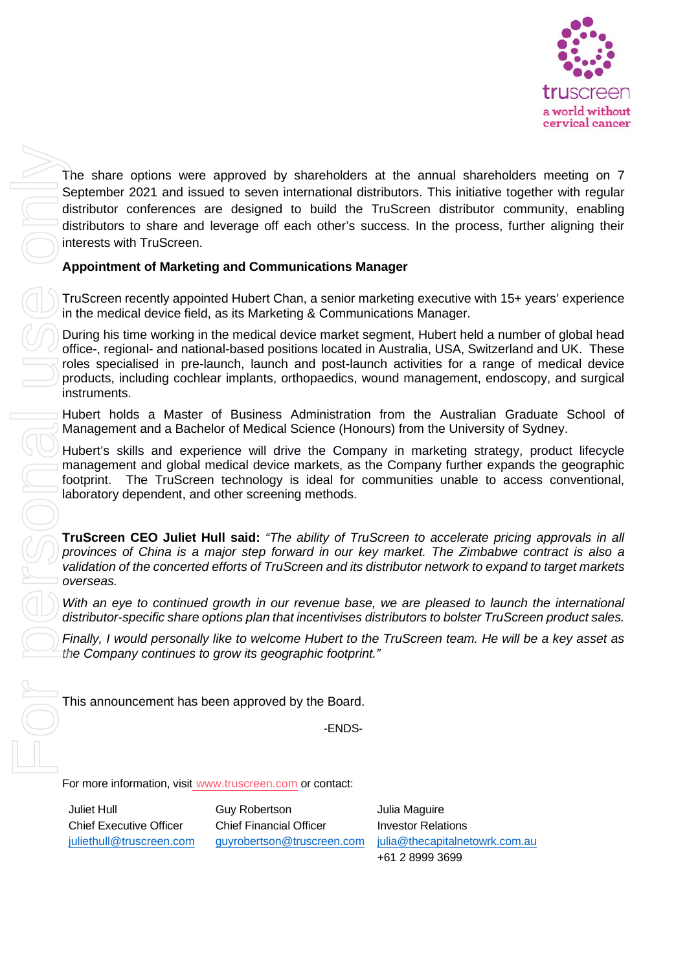

The share options were approved by shareholders at the annual shareholders meeting on 7 September 2021 and issued to seven international distributors. This initiative together with regular distributor conferences are designed to build the TruScreen distributor community, enabling distributors to share and leverage off each other's success. In the process, further aligning their interests with TruScreen.

# **Appointment of Marketing and Communications Manager**

TruScreen recently appointed Hubert Chan, a senior marketing executive with 15+ years' experience in the medical device field, as its Marketing & Communications Manager.

During his time working in the medical device market segment, Hubert held a number of global head office-, regional- and national-based positions located in Australia, USA, Switzerland and UK. These roles specialised in pre-launch, launch and post-launch activities for a range of medical device products, including cochlear implants, orthopaedics, wound management, endoscopy, and surgical instruments.

Hubert holds a Master of Business Administration from the Australian Graduate School of Management and a Bachelor of Medical Science (Honours) from the University of Sydney.

Hubert's skills and experience will drive the Company in marketing strategy, product lifecycle management and global medical device markets, as the Company further expands the geographic footprint. The TruScreen technology is ideal for communities unable to access conventional, laboratory dependent, and other screening methods.

**TruScreen CEO Juliet Hull said:** *"The ability of TruScreen to accelerate pricing approvals in all provinces of China is a major step forward in our key market. The Zimbabwe contract is also a validation of the concerted efforts of TruScreen and its distributor network to expand to target markets overseas.* 

*With an eye to continued growth in our revenue base, we are pleased to launch the international distributor-specific share options plan that incentivises distributors to bolster TruScreen product sales.*

*Finally, I would personally like to welcome Hubert to the TruScreen team. He will be a key asset as the Company continues to grow its geographic footprint."*

This announcement has been approved by the Board.

-ENDS-

For more information, visit [www.truscreen.com](http://www.truscreen.com/) or contact:

Juliet Hull Chief Executive Officer [juliethull@truscreen.com](mailto:juliethull@truscreen.com) Guy Robertson Chief Financial Officer [guyrobertson@truscreen.com](mailto:guyrobertson@truscreen.com) Julia Maguire Investor Relations [julia@thecapitalnetowrk.com.au](mailto:julia@thecapitalnetowrk.com.au) +61 2 8999 3699